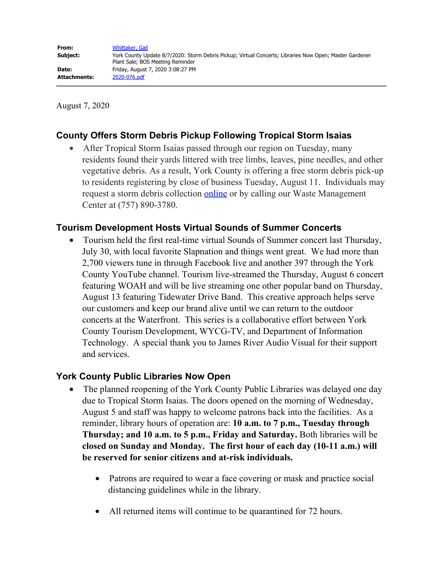August 7, 2020

# **County Offers Storm Debris Pickup Following Tropical Storm Isaias**

After Tropical Storm Isaias passed through our region on Tuesday, many residents found their yards littered with tree limbs, leaves, pine needles, and other vegetative debris. As a result, York County is offering a free storm debris pick-up to residents registering by close of business Tuesday, August 11. Individuals may request a storm debris collection [online](https://yorkips.yorkcounty.cloud/) or by calling our Waste Management Center at (757) 890-3780.

## **Tourism Development Hosts Virtual Sounds of Summer Concerts**

· Tourism held the first real-time virtual Sounds of Summer concert last Thursday, July 30, with local favorite Slapnation and things went great. We had more than 2,700 viewers tune in through Facebook live and another 397 through the York County YouTube channel. Tourism live-streamed the Thursday, August 6 concert featuring WOAH and will be live streaming one other popular band on Thursday, August 13 featuring Tidewater Drive Band. This creative approach helps serve our customers and keep our brand alive until we can return to the outdoor concerts at the Waterfront. This series is a collaborative effort between York County Tourism Development, WYCG-TV, and Department of Information Technology. A special thank you to James River Audio Visual for their support and services.

## **York County Public Libraries Now Open**

- The planned reopening of the York County Public Libraries was delayed one day due to Tropical Storm Isaias. The doors opened on the morning of Wednesday, August 5 and staff was happy to welcome patrons back into the facilities. As a reminder, library hours of operation are: **10 a.m. to 7 p.m., Tuesday through Thursday; and 10 a.m. to 5 p.m., Friday and Saturday.** Both libraries will be **closed on Sunday and Monday. The first hour of each day (10-11 a.m.) will be reserved for senior citizens and at-risk individuals.**
	- Patrons are required to wear a face covering or mask and practice social distancing guidelines while in the library.
	- All returned items will continue to be quarantined for 72 hours.